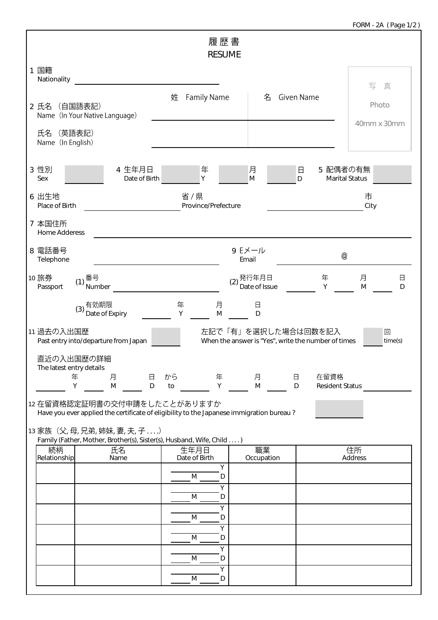| 履歴書<br><b>RESUME</b>                                                                                                                                                                         |                  |  |  |  |  |  |
|----------------------------------------------------------------------------------------------------------------------------------------------------------------------------------------------|------------------|--|--|--|--|--|
| 1 国籍<br>Nationality                                                                                                                                                                          | 写<br>真           |  |  |  |  |  |
| <b>Family Name</b><br>Given Name<br>姓<br>名<br>2 氏名 (自国語表記)<br>Name (In Your Native Language)                                                                                                 | Photo            |  |  |  |  |  |
| 氏名 (英語表記)<br>Name (In English)                                                                                                                                                               | 40mm x 30mm      |  |  |  |  |  |
| 3 性別<br>4 生年月日<br>5 配偶者の有無<br>月<br>年<br>日<br>Υ<br>M<br><b>Marital Status</b><br>Sex<br>Date of Birth<br>D                                                                                    |                  |  |  |  |  |  |
| 省/県<br>6 出生地<br>Province/Prefecture<br>Place of Birth                                                                                                                                        | 市<br>City        |  |  |  |  |  |
| 7 本国住所<br><b>Home Adderess</b>                                                                                                                                                               |                  |  |  |  |  |  |
| 8 電話番号<br>9 Eメール<br>@<br>Email<br>Telephone                                                                                                                                                  |                  |  |  |  |  |  |
| 10 旅券<br>年<br>番号<br>発行年月日<br>(1)<br>(2)<br>Date of Issue<br>Passport<br>Number<br>Y                                                                                                          | 月<br>日<br>M<br>D |  |  |  |  |  |
| 有効期限<br>年<br>月<br>$\Box$<br>(3)<br>Date of Expiry<br>Υ<br>D<br>M                                                                                                                             |                  |  |  |  |  |  |
| 11 過去の入出国歴<br>左記で「有」を選択した場合は回数を記入<br>回<br>Past entry into/departure from Japan<br>When the answer is "Yes", write the number of times<br>time(s)                                             |                  |  |  |  |  |  |
| 直近の入出国歴の詳細<br>The latest entry details<br>から<br>年<br>月<br>在留資格<br>年<br>月<br>$\Box$<br>$\Box$                                                                                                 |                  |  |  |  |  |  |
| Y<br>Υ<br>M<br>M<br>D<br>to<br>D<br><b>Resident Status</b><br>12 在留資格認定証明書の交付申請をしたことがありますか                                                                                                   |                  |  |  |  |  |  |
| Have you ever applied the certificate of eligibility to the Japanese immigration bureau?<br>13 家族 (父,母,兄弟,姉妹,妻,夫,子)<br>Family (Father, Mother, Brother(s), Sister(s), Husband, Wife, Child ) |                  |  |  |  |  |  |
| 職業<br>続柄<br>氏名<br>生年月日<br>住所<br>Relationship<br>Date of Birth<br>Address<br>Name<br>Occupation<br>Υ                                                                                          |                  |  |  |  |  |  |
| M<br>D<br>Υ                                                                                                                                                                                  |                  |  |  |  |  |  |
| M<br>D<br>Υ                                                                                                                                                                                  |                  |  |  |  |  |  |
| M<br>D<br>Υ                                                                                                                                                                                  |                  |  |  |  |  |  |
| M<br>D<br>Υ<br>M<br>D                                                                                                                                                                        |                  |  |  |  |  |  |
| Υ<br>M<br>D                                                                                                                                                                                  |                  |  |  |  |  |  |

Г